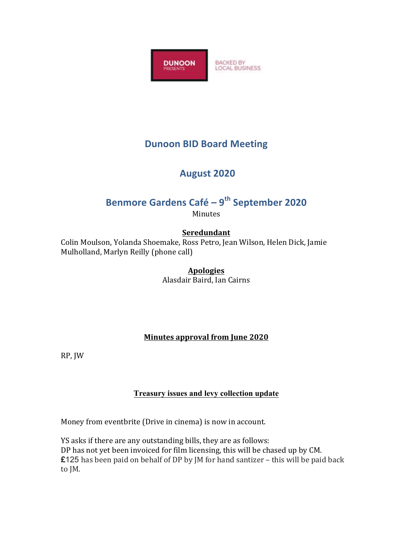

## **Dunoon BID Board Meeting**

## **August 2020**

# **Benmore Gardens Café – 9<sup>th</sup> September 2020**

Minutes

### **Seredundant**

Colin Moulson, Yolanda Shoemake, Ross Petro, Jean Wilson, Helen Dick, Jamie Mulholland, Marlyn Reilly (phone call)

#### **Apologies**

Alasdair Baird, Ian Cairns

#### **Minutes approval from June 2020**

RP, JW

#### **Treasury issues and levy collection update**

Money from eventbrite (Drive in cinema) is now in account.

YS asks if there are any outstanding bills, they are as follows: DP has not yet been invoiced for film licensing, this will be chased up by CM. **£125** has been paid on behalf of DP by JM for hand santizer – this will be paid back to JM.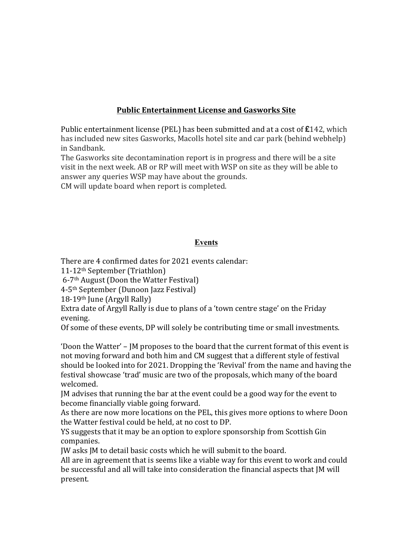#### **Public Entertainment License and Gasworks Site**

Public entertainment license (PEL) has been submitted and at a cost of  $\pounds$ 142, which has included new sites Gasworks, Macolls hotel site and car park (behind webhelp) in Sandbank. 

The Gasworks site decontamination report is in progress and there will be a site visit in the next week. AB or RP will meet with WSP on site as they will be able to answer any queries WSP may have about the grounds.

CM will update board when report is completed.

#### **Events**

There are 4 confirmed dates for 2021 events calendar:

11-12<sup>th</sup> September (Triathlon)

 $6-7$ <sup>th</sup> August (Doon the Watter Festival)

4-5<sup>th</sup> September (Dunoon Jazz Festival)

 $18-19$ <sup>th</sup> June (Argyll Rally)

Extra date of Argyll Rally is due to plans of a 'town centre stage' on the Friday evening. 

Of some of these events, DP will solely be contributing time or small investments.

'Doon the Watter' –  $\mu$  proposes to the board that the current format of this event is not moving forward and both him and CM suggest that a different style of festival should be looked into for 2021. Dropping the 'Revival' from the name and having the festival showcase 'trad' music are two of the proposals, which many of the board welcomed. 

IM advises that running the bar at the event could be a good way for the event to become financially viable going forward.

As there are now more locations on the PEL, this gives more options to where Doon the Watter festival could be held, at no cost to DP.

YS suggests that it may be an option to explore sponsorship from Scottish Gin companies. 

JW asks JM to detail basic costs which he will submit to the board.

All are in agreement that is seems like a viable way for this event to work and could be successful and all will take into consideration the financial aspects that [M will present.